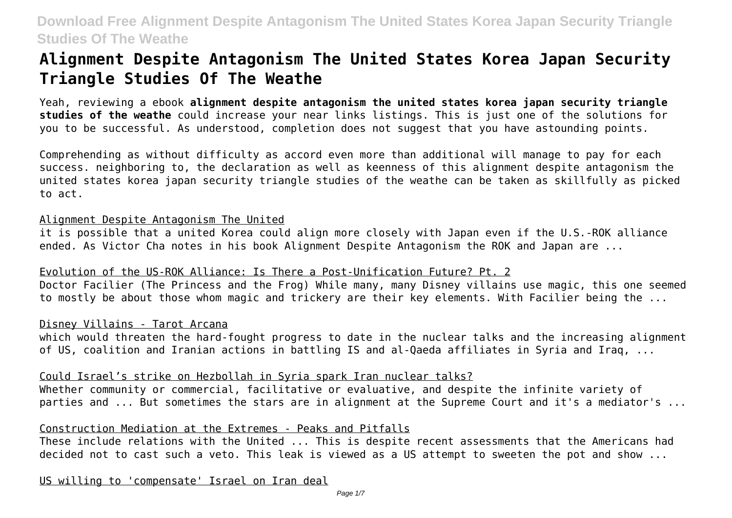# **Alignment Despite Antagonism The United States Korea Japan Security Triangle Studies Of The Weathe**

Yeah, reviewing a ebook **alignment despite antagonism the united states korea japan security triangle studies of the weathe** could increase your near links listings. This is just one of the solutions for you to be successful. As understood, completion does not suggest that you have astounding points.

Comprehending as without difficulty as accord even more than additional will manage to pay for each success. neighboring to, the declaration as well as keenness of this alignment despite antagonism the united states korea japan security triangle studies of the weathe can be taken as skillfully as picked to act.

### Alignment Despite Antagonism The United

it is possible that a united Korea could align more closely with Japan even if the U.S.-ROK alliance ended. As Victor Cha notes in his book Alignment Despite Antagonism the ROK and Japan are ...

### Evolution of the US-ROK Alliance: Is There a Post-Unification Future? Pt. 2

Doctor Facilier (The Princess and the Frog) While many, many Disney villains use magic, this one seemed to mostly be about those whom magic and trickery are their key elements. With Facilier being the ...

### Disney Villains - Tarot Arcana

which would threaten the hard-fought progress to date in the nuclear talks and the increasing alignment of US, coalition and Iranian actions in battling IS and al-Qaeda affiliates in Syria and Iraq, ...

### Could Israel's strike on Hezbollah in Syria spark Iran nuclear talks?

Whether community or commercial, facilitative or evaluative, and despite the infinite variety of parties and ... But sometimes the stars are in alignment at the Supreme Court and it's a mediator's ...

### Construction Mediation at the Extremes - Peaks and Pitfalls

These include relations with the United ... This is despite recent assessments that the Americans had decided not to cast such a veto. This leak is viewed as a US attempt to sweeten the pot and show ...

US willing to 'compensate' Israel on Iran deal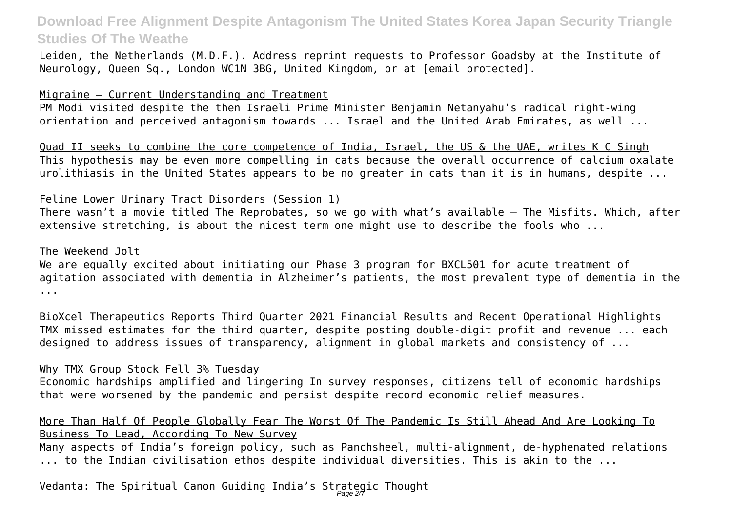Leiden, the Netherlands (M.D.F.). Address reprint requests to Professor Goadsby at the Institute of Neurology, Queen Sq., London WC1N 3BG, United Kingdom, or at [email protected].

#### Migraine — Current Understanding and Treatment

PM Modi visited despite the then Israeli Prime Minister Benjamin Netanyahu's radical right-wing orientation and perceived antagonism towards ... Israel and the United Arab Emirates, as well ...

Quad II seeks to combine the core competence of India, Israel, the US & the UAE, writes K C Singh This hypothesis may be even more compelling in cats because the overall occurrence of calcium oxalate urolithiasis in the United States appears to be no greater in cats than it is in humans, despite ...

### Feline Lower Urinary Tract Disorders (Session 1)

There wasn't a movie titled The Reprobates, so we go with what's available — The Misfits. Which, after extensive stretching, is about the nicest term one might use to describe the fools who ...

#### The Weekend Jolt

We are equally excited about initiating our Phase 3 program for BXCL501 for acute treatment of agitation associated with dementia in Alzheimer's patients, the most prevalent type of dementia in the ...

BioXcel Therapeutics Reports Third Quarter 2021 Financial Results and Recent Operational Highlights TMX missed estimates for the third quarter, despite posting double-digit profit and revenue ... each designed to address issues of transparency, alignment in global markets and consistency of ...

#### Why TMX Group Stock Fell 3% Tuesday

Economic hardships amplified and lingering In survey responses, citizens tell of economic hardships that were worsened by the pandemic and persist despite record economic relief measures.

### More Than Half Of People Globally Fear The Worst Of The Pandemic Is Still Ahead And Are Looking To Business To Lead, According To New Survey

Many aspects of India's foreign policy, such as Panchsheel, multi-alignment, de-hyphenated relations ... to the Indian civilisation ethos despite individual diversities. This is akin to the ...

## <u>Vedanta: The Spiritual Canon Guiding India's Strategic Thought</u>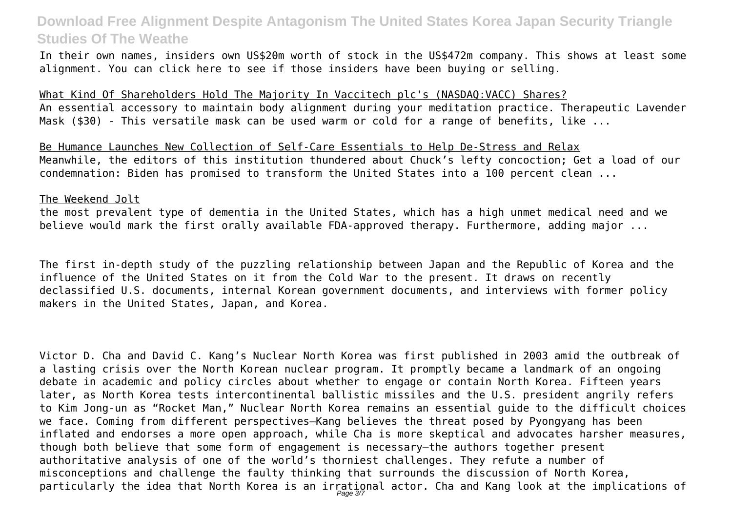In their own names, insiders own US\$20m worth of stock in the US\$472m company. This shows at least some alignment. You can click here to see if those insiders have been buying or selling.

What Kind Of Shareholders Hold The Majority In Vaccitech plc's (NASDAQ:VACC) Shares? An essential accessory to maintain body alignment during your meditation practice. Therapeutic Lavender Mask (\$30) - This versatile mask can be used warm or cold for a range of benefits, like ...

Be Humance Launches New Collection of Self-Care Essentials to Help De-Stress and Relax Meanwhile, the editors of this institution thundered about Chuck's lefty concoction; Get a load of our condemnation: Biden has promised to transform the United States into a 100 percent clean ...

#### The Weekend Jolt

the most prevalent type of dementia in the United States, which has a high unmet medical need and we believe would mark the first orally available FDA-approved therapy. Furthermore, adding major ...

The first in-depth study of the puzzling relationship between Japan and the Republic of Korea and the influence of the United States on it from the Cold War to the present. It draws on recently declassified U.S. documents, internal Korean government documents, and interviews with former policy makers in the United States, Japan, and Korea.

Victor D. Cha and David C. Kang's Nuclear North Korea was first published in 2003 amid the outbreak of a lasting crisis over the North Korean nuclear program. It promptly became a landmark of an ongoing debate in academic and policy circles about whether to engage or contain North Korea. Fifteen years later, as North Korea tests intercontinental ballistic missiles and the U.S. president angrily refers to Kim Jong-un as "Rocket Man," Nuclear North Korea remains an essential guide to the difficult choices we face. Coming from different perspectives—Kang believes the threat posed by Pyongyang has been inflated and endorses a more open approach, while Cha is more skeptical and advocates harsher measures, though both believe that some form of engagement is necessary—the authors together present authoritative analysis of one of the world's thorniest challenges. They refute a number of misconceptions and challenge the faulty thinking that surrounds the discussion of North Korea, particularly the idea that North Korea is an irrational actor. Cha and Kang look at the implications of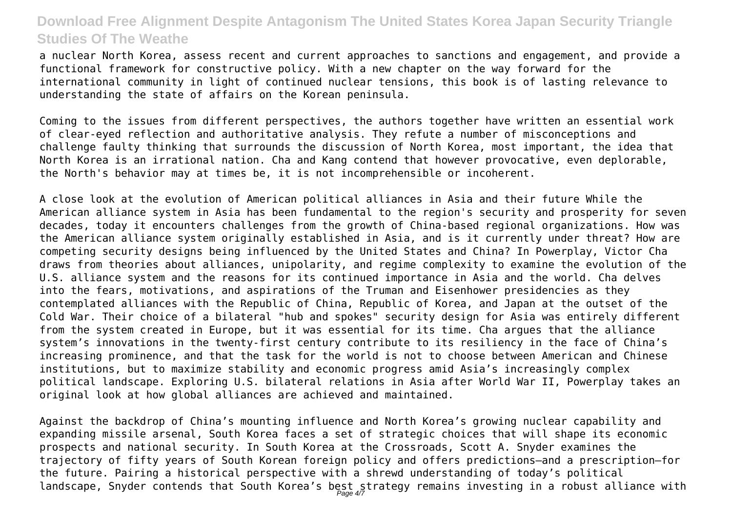a nuclear North Korea, assess recent and current approaches to sanctions and engagement, and provide a functional framework for constructive policy. With a new chapter on the way forward for the international community in light of continued nuclear tensions, this book is of lasting relevance to understanding the state of affairs on the Korean peninsula.

Coming to the issues from different perspectives, the authors together have written an essential work of clear-eyed reflection and authoritative analysis. They refute a number of misconceptions and challenge faulty thinking that surrounds the discussion of North Korea, most important, the idea that North Korea is an irrational nation. Cha and Kang contend that however provocative, even deplorable, the North's behavior may at times be, it is not incomprehensible or incoherent.

A close look at the evolution of American political alliances in Asia and their future While the American alliance system in Asia has been fundamental to the region's security and prosperity for seven decades, today it encounters challenges from the growth of China-based regional organizations. How was the American alliance system originally established in Asia, and is it currently under threat? How are competing security designs being influenced by the United States and China? In Powerplay, Victor Cha draws from theories about alliances, unipolarity, and regime complexity to examine the evolution of the U.S. alliance system and the reasons for its continued importance in Asia and the world. Cha delves into the fears, motivations, and aspirations of the Truman and Eisenhower presidencies as they contemplated alliances with the Republic of China, Republic of Korea, and Japan at the outset of the Cold War. Their choice of a bilateral "hub and spokes" security design for Asia was entirely different from the system created in Europe, but it was essential for its time. Cha argues that the alliance system's innovations in the twenty-first century contribute to its resiliency in the face of China's increasing prominence, and that the task for the world is not to choose between American and Chinese institutions, but to maximize stability and economic progress amid Asia's increasingly complex political landscape. Exploring U.S. bilateral relations in Asia after World War II, Powerplay takes an original look at how global alliances are achieved and maintained.

Against the backdrop of China's mounting influence and North Korea's growing nuclear capability and expanding missile arsenal, South Korea faces a set of strategic choices that will shape its economic prospects and national security. In South Korea at the Crossroads, Scott A. Snyder examines the trajectory of fifty years of South Korean foreign policy and offers predictions—and a prescription—for the future. Pairing a historical perspective with a shrewd understanding of today's political landscape, Snyder contends that South Korea's best strategy remains investing in a robust alliance with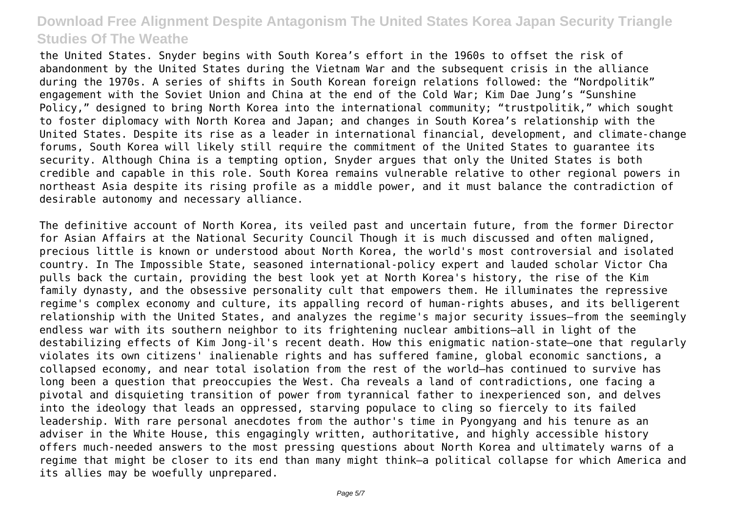the United States. Snyder begins with South Korea's effort in the 1960s to offset the risk of abandonment by the United States during the Vietnam War and the subsequent crisis in the alliance during the 1970s. A series of shifts in South Korean foreign relations followed: the "Nordpolitik" engagement with the Soviet Union and China at the end of the Cold War; Kim Dae Jung's "Sunshine Policy," designed to bring North Korea into the international community; "trustpolitik," which sought to foster diplomacy with North Korea and Japan; and changes in South Korea's relationship with the United States. Despite its rise as a leader in international financial, development, and climate-change forums, South Korea will likely still require the commitment of the United States to guarantee its security. Although China is a tempting option, Snyder argues that only the United States is both credible and capable in this role. South Korea remains vulnerable relative to other regional powers in northeast Asia despite its rising profile as a middle power, and it must balance the contradiction of desirable autonomy and necessary alliance.

The definitive account of North Korea, its veiled past and uncertain future, from the former Director for Asian Affairs at the National Security Council Though it is much discussed and often maligned, precious little is known or understood about North Korea, the world's most controversial and isolated country. In The Impossible State, seasoned international-policy expert and lauded scholar Victor Cha pulls back the curtain, providing the best look yet at North Korea's history, the rise of the Kim family dynasty, and the obsessive personality cult that empowers them. He illuminates the repressive regime's complex economy and culture, its appalling record of human-rights abuses, and its belligerent relationship with the United States, and analyzes the regime's major security issues—from the seemingly endless war with its southern neighbor to its frightening nuclear ambitions—all in light of the destabilizing effects of Kim Jong-il's recent death. How this enigmatic nation-state—one that regularly violates its own citizens' inalienable rights and has suffered famine, global economic sanctions, a collapsed economy, and near total isolation from the rest of the world—has continued to survive has long been a question that preoccupies the West. Cha reveals a land of contradictions, one facing a pivotal and disquieting transition of power from tyrannical father to inexperienced son, and delves into the ideology that leads an oppressed, starving populace to cling so fiercely to its failed leadership. With rare personal anecdotes from the author's time in Pyongyang and his tenure as an adviser in the White House, this engagingly written, authoritative, and highly accessible history offers much-needed answers to the most pressing questions about North Korea and ultimately warns of a regime that might be closer to its end than many might think—a political collapse for which America and its allies may be woefully unprepared.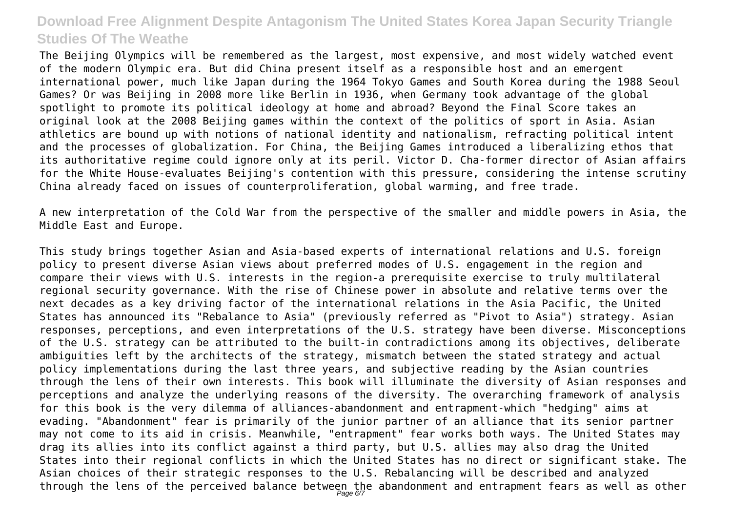The Beijing Olympics will be remembered as the largest, most expensive, and most widely watched event of the modern Olympic era. But did China present itself as a responsible host and an emergent international power, much like Japan during the 1964 Tokyo Games and South Korea during the 1988 Seoul Games? Or was Beijing in 2008 more like Berlin in 1936, when Germany took advantage of the global spotlight to promote its political ideology at home and abroad? Beyond the Final Score takes an original look at the 2008 Beijing games within the context of the politics of sport in Asia. Asian athletics are bound up with notions of national identity and nationalism, refracting political intent and the processes of globalization. For China, the Beijing Games introduced a liberalizing ethos that its authoritative regime could ignore only at its peril. Victor D. Cha-former director of Asian affairs for the White House-evaluates Beijing's contention with this pressure, considering the intense scrutiny China already faced on issues of counterproliferation, global warming, and free trade.

A new interpretation of the Cold War from the perspective of the smaller and middle powers in Asia, the Middle East and Europe.

This study brings together Asian and Asia-based experts of international relations and U.S. foreign policy to present diverse Asian views about preferred modes of U.S. engagement in the region and compare their views with U.S. interests in the region-a prerequisite exercise to truly multilateral regional security governance. With the rise of Chinese power in absolute and relative terms over the next decades as a key driving factor of the international relations in the Asia Pacific, the United States has announced its "Rebalance to Asia" (previously referred as "Pivot to Asia") strategy. Asian responses, perceptions, and even interpretations of the U.S. strategy have been diverse. Misconceptions of the U.S. strategy can be attributed to the built-in contradictions among its objectives, deliberate ambiguities left by the architects of the strategy, mismatch between the stated strategy and actual policy implementations during the last three years, and subjective reading by the Asian countries through the lens of their own interests. This book will illuminate the diversity of Asian responses and perceptions and analyze the underlying reasons of the diversity. The overarching framework of analysis for this book is the very dilemma of alliances-abandonment and entrapment-which "hedging" aims at evading. "Abandonment" fear is primarily of the junior partner of an alliance that its senior partner may not come to its aid in crisis. Meanwhile, "entrapment" fear works both ways. The United States may drag its allies into its conflict against a third party, but U.S. allies may also drag the United States into their regional conflicts in which the United States has no direct or significant stake. The Asian choices of their strategic responses to the U.S. Rebalancing will be described and analyzed through the lens of the perceived balance between the abandonment and entrapment fears as well as other